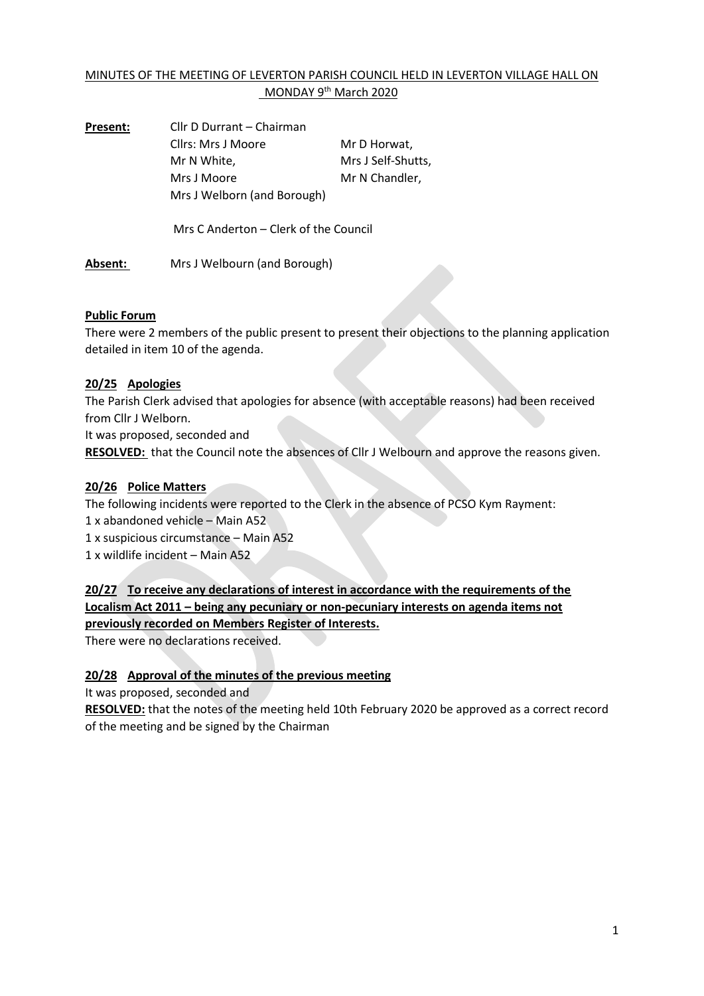# MINUTES OF THE MEETING OF LEVERTON PARISH COUNCIL HELD IN LEVERTON VILLAGE HALL ON MONDAY 9<sup>th</sup> March 2020

**Present:** Cllr D Durrant – Chairman Cllrs: Mrs J Moore Mr D Horwat, Mr N White, Mrs J Self-Shutts, Mrs J Moore Mr N Chandler, Mrs J Welborn (and Borough)

Mrs C Anderton – Clerk of the Council

**Absent:** Mrs J Welbourn (and Borough)

### **Public Forum**

There were 2 members of the public present to present their objections to the planning application detailed in item 10 of the agenda.

### **20/25 Apologies**

The Parish Clerk advised that apologies for absence (with acceptable reasons) had been received from Cllr J Welborn.

It was proposed, seconded and

**RESOLVED:** that the Council note the absences of Cllr J Welbourn and approve the reasons given.

#### **20/26 Police Matters**

The following incidents were reported to the Clerk in the absence of PCSO Kym Rayment:

1 x abandoned vehicle – Main A52

1 x suspicious circumstance – Main A52

1 x wildlife incident – Main A52

**20/27 To receive any declarations of interest in accordance with the requirements of the Localism Act 2011 – being any pecuniary or non-pecuniary interests on agenda items not previously recorded on Members Register of Interests.**

There were no declarations received.

### **20/28 Approval of the minutes of the previous meeting**

It was proposed, seconded and

**RESOLVED:** that the notes of the meeting held 10th February 2020 be approved as a correct record of the meeting and be signed by the Chairman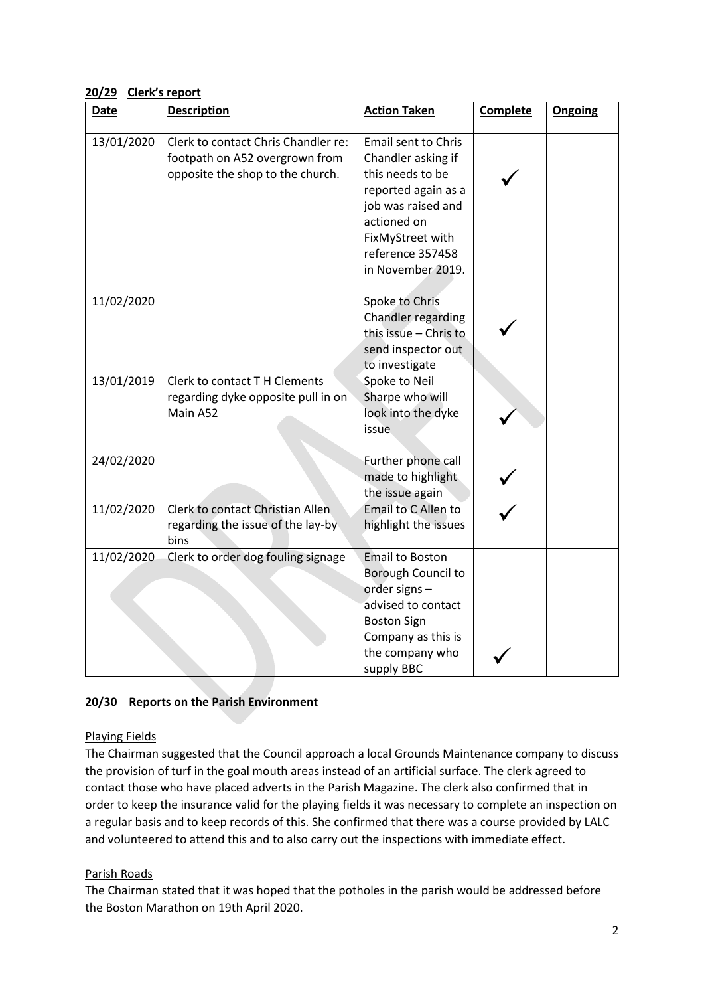**20/29 Clerk's report**

| <b>Date</b> | <b>Description</b>                                                                                        | <b>Action Taken</b>                                                                                                                                                                           | <b>Complete</b> | Ongoing |
|-------------|-----------------------------------------------------------------------------------------------------------|-----------------------------------------------------------------------------------------------------------------------------------------------------------------------------------------------|-----------------|---------|
| 13/01/2020  | Clerk to contact Chris Chandler re:<br>footpath on A52 overgrown from<br>opposite the shop to the church. | <b>Email sent to Chris</b><br>Chandler asking if<br>this needs to be<br>reported again as a<br>job was raised and<br>actioned on<br>FixMyStreet with<br>reference 357458<br>in November 2019. |                 |         |
| 11/02/2020  |                                                                                                           | Spoke to Chris<br>Chandler regarding<br>this issue - Chris to<br>send inspector out<br>to investigate                                                                                         |                 |         |
| 13/01/2019  | Clerk to contact T H Clements<br>regarding dyke opposite pull in on<br>Main A52                           | Spoke to Neil<br>Sharpe who will<br>look into the dyke<br><i>issue</i>                                                                                                                        |                 |         |
| 24/02/2020  |                                                                                                           | Further phone call<br>made to highlight<br>the issue again                                                                                                                                    |                 |         |
| 11/02/2020  | Clerk to contact Christian Allen<br>regarding the issue of the lay-by<br>bins                             | Email to C Allen to<br>highlight the issues                                                                                                                                                   |                 |         |
| 11/02/2020  | Clerk to order dog fouling signage                                                                        | <b>Email to Boston</b><br>Borough Council to<br>order signs -<br>advised to contact<br><b>Boston Sign</b><br>Company as this is<br>the company who<br>supply BBC                              |                 |         |

# **20/30 Reports on the Parish Environment**

### Playing Fields

The Chairman suggested that the Council approach a local Grounds Maintenance company to discuss the provision of turf in the goal mouth areas instead of an artificial surface. The clerk agreed to contact those who have placed adverts in the Parish Magazine. The clerk also confirmed that in order to keep the insurance valid for the playing fields it was necessary to complete an inspection on a regular basis and to keep records of this. She confirmed that there was a course provided by LALC and volunteered to attend this and to also carry out the inspections with immediate effect.

### Parish Roads

The Chairman stated that it was hoped that the potholes in the parish would be addressed before the Boston Marathon on 19th April 2020.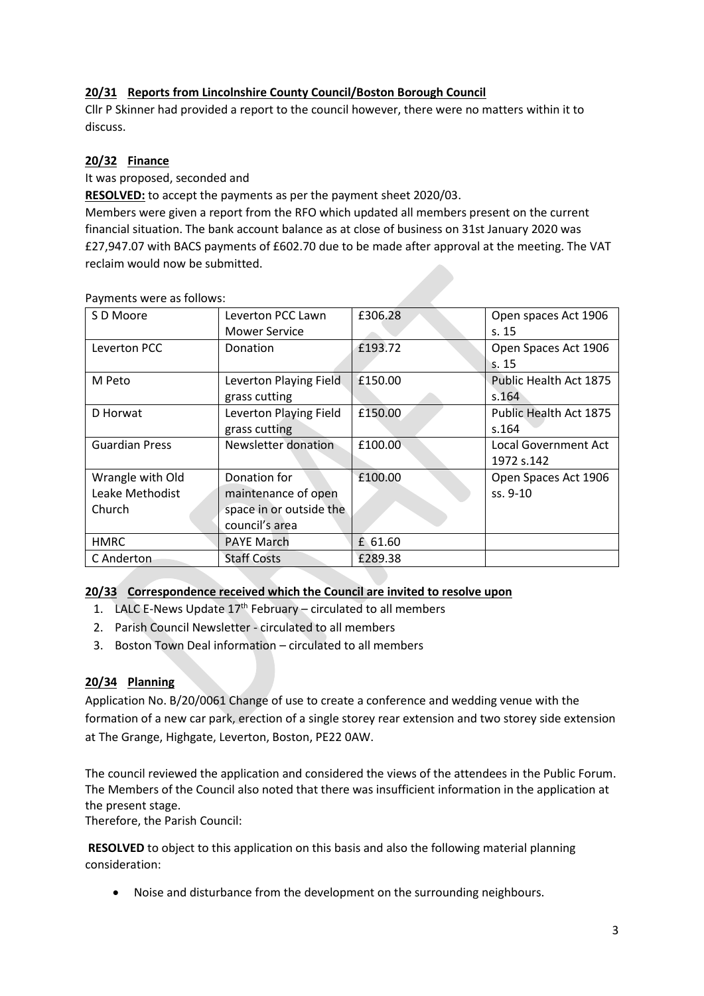## **20/31 Reports from Lincolnshire County Council/Boston Borough Council**

Cllr P Skinner had provided a report to the council however, there were no matters within it to discuss.

#### **20/32 Finance**

It was proposed, seconded and

**RESOLVED:** to accept the payments as per the payment sheet 2020/03.

Members were given a report from the RFO which updated all members present on the current financial situation. The bank account balance as at close of business on 31st January 2020 was £27,947.07 with BACS payments of £602.70 due to be made after approval at the meeting. The VAT reclaim would now be submitted.

| $3,111$ $3,122$ $11$ $3,121$ $3,131$ |                         |         |                             |
|--------------------------------------|-------------------------|---------|-----------------------------|
| S D Moore                            | Leverton PCC Lawn       | £306.28 | Open spaces Act 1906        |
|                                      | <b>Mower Service</b>    |         | s.15                        |
| Leverton PCC                         | Donation                | £193.72 | Open Spaces Act 1906        |
|                                      |                         |         | s. 15                       |
| M Peto                               | Leverton Playing Field  | £150.00 | Public Health Act 1875      |
|                                      | grass cutting           |         | s.164                       |
| D Horwat                             | Leverton Playing Field  | £150.00 | Public Health Act 1875      |
|                                      | grass cutting           |         | s.164                       |
| <b>Guardian Press</b>                | Newsletter donation     | £100.00 | <b>Local Government Act</b> |
|                                      |                         |         | 1972 s.142                  |
| Wrangle with Old                     | Donation for            | £100.00 | Open Spaces Act 1906        |
| Leake Methodist                      | maintenance of open     |         | ss. 9-10                    |
| Church                               | space in or outside the |         |                             |
|                                      | council's area          |         |                             |
| <b>HMRC</b>                          | <b>PAYE March</b>       | £ 61.60 |                             |
| C Anderton                           | <b>Staff Costs</b>      | £289.38 |                             |

Payments were as follows:

### **20/33 Correspondence received which the Council are invited to resolve upon**

- 1. LALC E-News Update  $17<sup>th</sup>$  February circulated to all members
- 2. Parish Council Newsletter circulated to all members
- 3. Boston Town Deal information circulated to all members

### **20/34 Planning**

Application No. B/20/0061 Change of use to create a conference and wedding venue with the formation of a new car park, erection of a single storey rear extension and two storey side extension at The Grange, Highgate, Leverton, Boston, PE22 0AW.

The council reviewed the application and considered the views of the attendees in the Public Forum. The Members of the Council also noted that there was insufficient information in the application at the present stage.

Therefore, the Parish Council:

**RESOLVED** to object to this application on this basis and also the following material planning consideration:

• Noise and disturbance from the development on the surrounding neighbours.